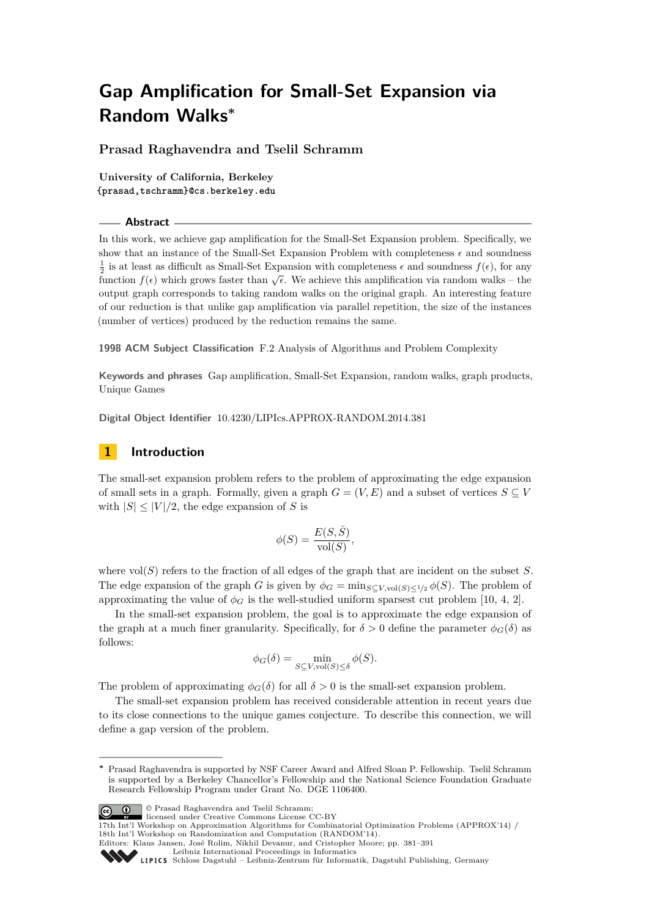**Prasad Raghavendra and Tselil Schramm**

**University of California, Berkeley {prasad,tschramm}@cs.berkeley.edu**

#### **Abstract**

In this work, we achieve gap amplification for the Small-Set Expansion problem. Specifically, we show that an instance of the Small-Set Expansion Problem with completeness  $\epsilon$  and soundness  $\frac{1}{2}$  is at least as difficult as Small-Set Expansion with completeness  $\epsilon$  and soundness  $f(\epsilon)$ , for any  $\frac{1}{2}$  is at least as difficult as 5man-5et Expansion with completeness e and soundness  $f(\epsilon)$ , for any function  $f(\epsilon)$  which grows faster than  $\sqrt{\epsilon}$ . We achieve this amplification via random walks – the output graph corresponds to taking random walks on the original graph. An interesting feature of our reduction is that unlike gap amplification via parallel repetition, the size of the instances (number of vertices) produced by the reduction remains the same.

**1998 ACM Subject Classification** F.2 Analysis of Algorithms and Problem Complexity

**Keywords and phrases** Gap amplification, Small-Set Expansion, random walks, graph products, Unique Games

**Digital Object Identifier** [10.4230/LIPIcs.APPROX-RANDOM.2014.381](http://dx.doi.org/10.4230/LIPIcs.APPROX-RANDOM.2014.381)

# **1 Introduction**

The small-set expansion problem refers to the problem of approximating the edge expansion of small sets in a graph. Formally, given a graph  $G = (V, E)$  and a subset of vertices  $S \subseteq V$ with  $|S| \leq |V|/2$ , the edge expansion of *S* is

$$
\phi(S) = \frac{E(S, \bar{S})}{\text{vol}(S)},
$$

where vol(*S*) refers to the fraction of all edges of the graph that are incident on the subset *S*. The edge expansion of the graph *G* is given by  $\phi_G = \min_{S \subset V, \text{vol}(S) \leq 1/2} \phi(S)$ . The problem of approximating the value of  $\phi_G$  is the well-studied uniform sparsest cut problem [\[10,](#page-8-0) [4,](#page-8-1) [2\]](#page-8-2).

In the small-set expansion problem, the goal is to approximate the edge expansion of the graph at a much finer granularity. Specifically, for  $\delta > 0$  define the parameter  $\phi_G(\delta)$  as follows:

$$
\phi_G(\delta) = \min_{S \subseteq V, \text{vol}(S) \le \delta} \phi(S).
$$

The problem of approximating  $\phi_G(\delta)$  for all  $\delta > 0$  is the small-set expansion problem.

The small-set expansion problem has received considerable attention in recent years due to its close connections to the unique games conjecture. To describe this connection, we will define a gap version of the problem.

**<sup>∗</sup>** Prasad Raghavendra is supported by NSF Career Award and Alfred Sloan P. Fellowship. Tselil Schramm is supported by a Berkeley Chancellor's Fellowship and the National Science Foundation Graduate Research Fellowship Program under Grant No. DGE 1106400.



© Prasad Raghavendra and Tselil Schramm;

licensed under Creative Commons License CC-BY

<sup>17</sup>th Int'l Workshop on Approximation Algorithms for Combinatorial Optimization Problems (APPROX'14) / 18th Int'l Workshop on Randomization and Computation (RANDOM'14).

Editors: Klaus Jansen, José Rolim, Nikhil Devanur, and Cristopher Moore; pp. 381[–391](#page-10-0)

[Leibniz International Proceedings in Informatics](http://www.dagstuhl.de/lipics/)

[Schloss Dagstuhl – Leibniz-Zentrum für Informatik, Dagstuhl Publishing, Germany](http://www.dagstuhl.de)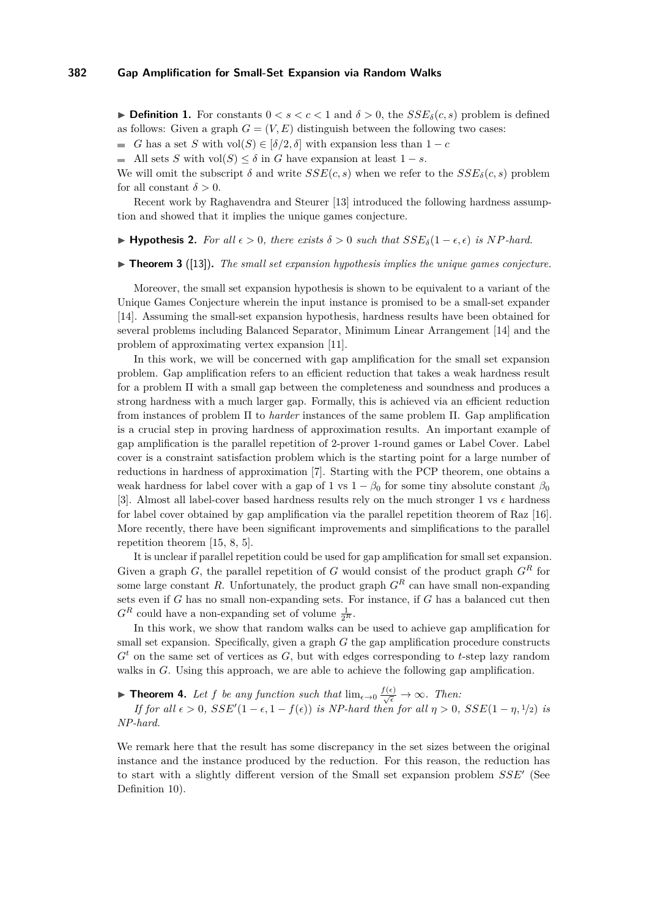<span id="page-1-1"></span>**► Definition 1.** For constants  $0 < s < c < 1$  and  $\delta > 0$ , the  $SSE_{\delta}(c, s)$  problem is defined as follows: Given a graph  $G = (V, E)$  distinguish between the following two cases:

*G* has a set *S* with vol $(S) \in [\delta/2, \delta]$  with expansion less than  $1 - c$  $\blacksquare$ 

All sets *S* with vol $(S) \leq \delta$  in *G* have expansion at least  $1 - s$ .

We will omit the subscript  $\delta$  and write  $SSE(c, s)$  when we refer to the  $SSE_{\delta}(c, s)$  problem for all constant  $\delta > 0$ .

Recent work by Raghavendra and Steurer [\[13\]](#page-8-3) introduced the following hardness assumption and showed that it implies the unique games conjecture.

**► Hypothesis 2.** For all  $\epsilon > 0$ , there exists  $\delta > 0$  such that  $SSE_{\delta}(1 - \epsilon, \epsilon)$  is NP-hard.

 $\triangleright$  **Theorem 3** ([\[13\]](#page-8-3)). The small set expansion hypothesis implies the unique games conjecture.

Moreover, the small set expansion hypothesis is shown to be equivalent to a variant of the Unique Games Conjecture wherein the input instance is promised to be a small-set expander [\[14\]](#page-8-4). Assuming the small-set expansion hypothesis, hardness results have been obtained for several problems including Balanced Separator, Minimum Linear Arrangement [\[14\]](#page-8-4) and the problem of approximating vertex expansion [\[11\]](#page-8-5).

In this work, we will be concerned with gap amplification for the small set expansion problem. Gap amplification refers to an efficient reduction that takes a weak hardness result for a problem Π with a small gap between the completeness and soundness and produces a strong hardness with a much larger gap. Formally, this is achieved via an efficient reduction from instances of problem Π to *harder* instances of the same problem Π. Gap amplification is a crucial step in proving hardness of approximation results. An important example of gap amplification is the parallel repetition of 2-prover 1-round games or Label Cover. Label cover is a constraint satisfaction problem which is the starting point for a large number of reductions in hardness of approximation [\[7\]](#page-8-6). Starting with the PCP theorem, one obtains a weak hardness for label cover with a gap of 1 vs  $1 - \beta_0$  for some tiny absolute constant  $\beta_0$ [\[3\]](#page-8-7). Almost all label-cover based hardness results rely on the much stronger 1 vs  $\epsilon$  hardness for label cover obtained by gap amplification via the parallel repetition theorem of Raz [\[16\]](#page-8-8). More recently, there have been significant improvements and simplifications to the parallel repetition theorem [\[15,](#page-8-9) [8,](#page-8-10) [5\]](#page-8-11).

It is unclear if parallel repetition could be used for gap amplification for small set expansion. Given a graph *G*, the parallel repetition of *G* would consist of the product graph  $G<sup>R</sup>$  for some large constant *R*. Unfortunately, the product graph  $G<sup>R</sup>$  can have small non-expanding sets even if *G* has no small non-expanding sets. For instance, if *G* has a balanced cut then  $G<sup>R</sup>$  could have a non-expanding set of volume  $\frac{1}{2^R}$ .

In this work, we show that random walks can be used to achieve gap amplification for small set expansion. Specifically, given a graph *G* the gap amplification procedure constructs *G<sup>t</sup>* on the same set of vertices as *G*, but with edges corresponding to *t*-step lazy random walks in *G*. Using this approach, we are able to achieve the following gap amplification.

<span id="page-1-0"></span>▶ **Theorem 4.** Let *f* be any function such that  $\lim_{\epsilon \to 0} \frac{f(\epsilon)}{\sqrt{\epsilon}} \to \infty$ . Then:

*If for all*  $\epsilon > 0$ ,  $SSE'(1 - \epsilon, 1 - f(\epsilon))$  *is NP-hard then for all*  $\eta > 0$ ,  $SSE(1 - \eta, 1/2)$  *is NP-hard.*

We remark here that the result has some discrepancy in the set sizes between the original instance and the instance produced by the reduction. For this reason, the reduction has to start with a slightly different version of the Small set expansion problem  $SSE'$  (See Definition [10\)](#page-3-0).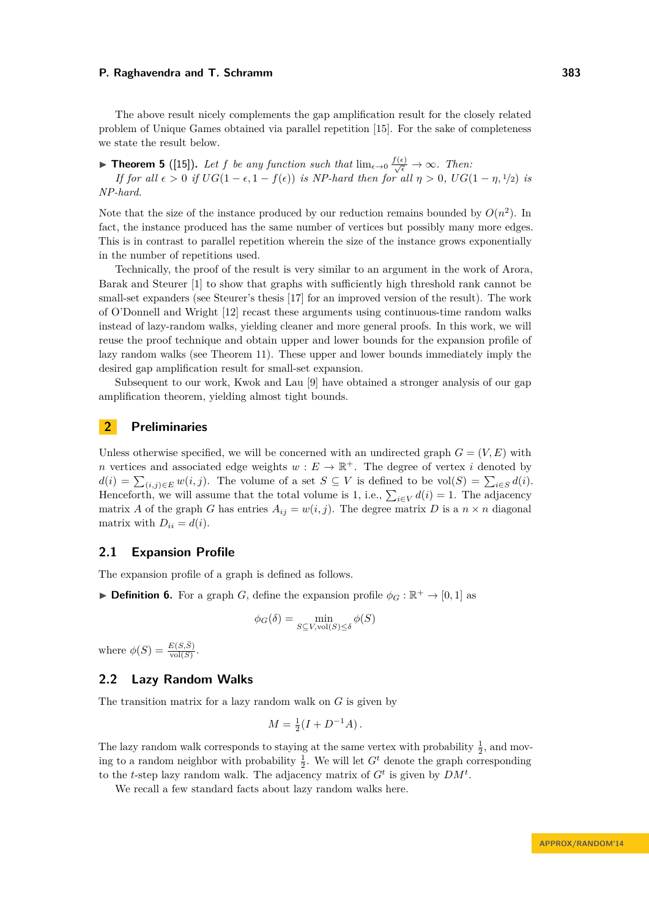The above result nicely complements the gap amplification result for the closely related problem of Unique Games obtained via parallel repetition [\[15\]](#page-8-9). For the sake of completeness we state the result below.

▶ **Theorem 5** ([\[15\]](#page-8-9)). Let f be any function such that  $\lim_{\epsilon \to 0} \frac{f(\epsilon)}{\sqrt{\epsilon}} \to \infty$ . Then: *If for all*  $\epsilon > 0$  *if*  $UG(1 - \epsilon, 1 - f(\epsilon))$  *is NP-hard then for all*  $\eta > 0$ ,  $UG(1 - \eta, 1/2)$  *is NP-hard.*

Note that the size of the instance produced by our reduction remains bounded by  $O(n^2)$ . In fact, the instance produced has the same number of vertices but possibly many more edges. This is in contrast to parallel repetition wherein the size of the instance grows exponentially in the number of repetitions used.

Technically, the proof of the result is very similar to an argument in the work of Arora, Barak and Steurer [\[1\]](#page-8-12) to show that graphs with sufficiently high threshold rank cannot be small-set expanders (see Steurer's thesis [\[17\]](#page-8-13) for an improved version of the result). The work of O'Donnell and Wright [\[12\]](#page-8-14) recast these arguments using continuous-time random walks instead of lazy-random walks, yielding cleaner and more general proofs. In this work, we will reuse the proof technique and obtain upper and lower bounds for the expansion profile of lazy random walks (see Theorem [11\)](#page-4-0). These upper and lower bounds immediately imply the desired gap amplification result for small-set expansion.

Subsequent to our work, Kwok and Lau [\[9\]](#page-8-15) have obtained a stronger analysis of our gap amplification theorem, yielding almost tight bounds.

## **2 Preliminaries**

Unless otherwise specified, we will be concerned with an undirected graph  $G = (V, E)$  with *n* vertices and associated edge weights  $w : E \to \mathbb{R}^+$ . The degree of vertex *i* denoted by  $d(i) = \sum_{(i,j)\in E} w(i,j)$ . The volume of a set  $S \subseteq V$  is defined to be vol $(S) = \sum_{i\in S} d(i)$ . Henceforth, we will assume that the total volume is 1, i.e.,  $\sum_{i \in V} d(i) = 1$ . The adjacency matrix *A* of the graph *G* has entries  $A_{ij} = w(i, j)$ . The degree matrix *D* is a  $n \times n$  diagonal matrix with  $D_{ii} = d(i)$ .

## **2.1 Expansion Profile**

The expansion profile of a graph is defined as follows.

**► Definition 6.** For a graph *G*, define the expansion profile  $\phi_G : \mathbb{R}^+ \to [0,1]$  as

$$
\phi_G(\delta) = \min_{S \subseteq V, \text{vol}(S) \le \delta} \phi(S)
$$

where  $\phi(S) = \frac{E(S,\bar{S})}{\text{vol}(S)}$ .

# **2.2 Lazy Random Walks**

The transition matrix for a lazy random walk on *G* is given by

$$
M = \frac{1}{2}(I + D^{-1}A).
$$

The lazy random walk corresponds to staying at the same vertex with probability  $\frac{1}{2}$ , and moving to a random neighbor with probability  $\frac{1}{2}$ . We will let  $G^t$  denote the graph corresponding to the *t*-step lazy random walk. The adjacency matrix of  $G<sup>t</sup>$  is given by  $DM<sup>t</sup>$ .

We recall a few standard facts about lazy random walks here.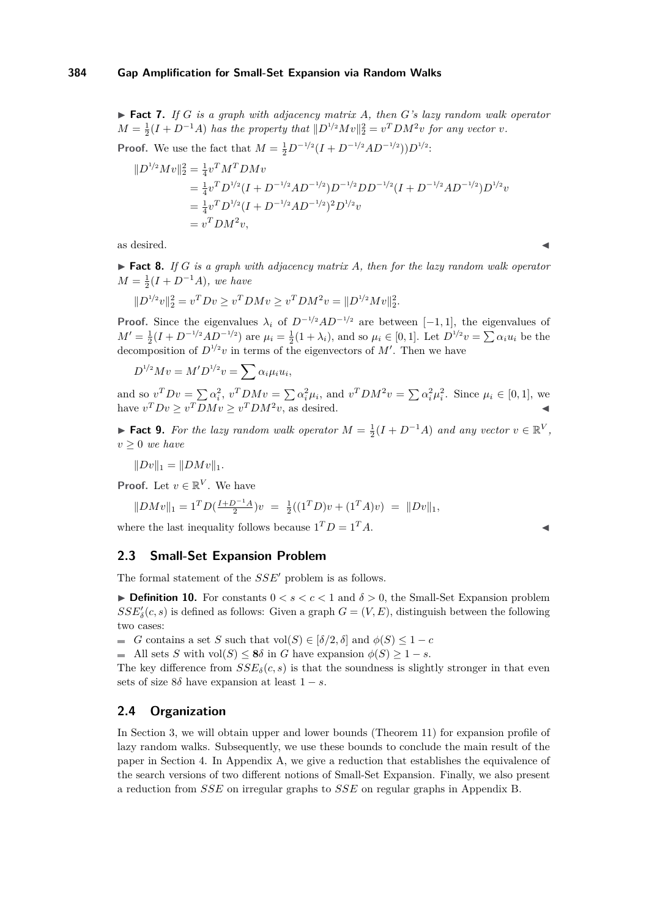<span id="page-3-2"></span> $\blacktriangleright$  **Fact 7.** *If G is a graph with adjacency matrix A, then G*'s lazy random walk operator  $M = \frac{1}{2}(I + D^{-1}A)$  *has the property that*  $||D^{1/2}Mv||_2^2 = v^TDM^2v$  *for any vector v.* 

**Proof.** We use the fact that 
$$
M = \frac{1}{2}D^{-1/2}(I + D^{-1/2}AD^{-1/2})D^{1/2}
$$
:

$$
\|D^{1/2}Mv\|_2^2 = \frac{1}{4}v^T M^T D M v
$$
  
=  $\frac{1}{4}v^T D^{1/2} (I + D^{-1/2}AD^{-1/2}) D^{-1/2} D D^{-1/2} (I + D^{-1/2}AD^{-1/2}) D^{1/2} v$   
=  $\frac{1}{4}v^T D^{1/2} (I + D^{-1/2}AD^{-1/2})^2 D^{1/2} v$   
=  $v^T D M^2 v$ ,

as desired.  $\blacksquare$ 

<span id="page-3-3"></span>▶ **Fact 8.** *If G is a graph with adjacency matrix A, then for the lazy random walk operator*  $M = \frac{1}{2}(I + D^{-1}A)$ *, we have* 

$$
||D^{1/2}v||_2^2 = v^T D v \ge v^T D M v \ge v^T D M^2 v = ||D^{1/2} M v||_2^2.
$$

**Proof.** Since the eigenvalues  $\lambda_i$  of  $D^{-1/2}AD^{-1/2}$  are between [−1, 1], the eigenvalues of  $M' = \frac{1}{2}(I + D^{-1/2}AD^{-1/2})$  are  $\mu_i = \frac{1}{2}(1 + \lambda_i)$ , and so  $\mu_i \in [0, 1]$ . Let  $D^{1/2}v = \sum \alpha_i u_i$  be the decomposition of  $D^{1/2}v$  in terms of the eigenvectors of M'. Then we have

$$
D^{1/2}Mv = M'D^{1/2}v = \sum \alpha_i \mu_i u_i,
$$

and so  $v^T D v = \sum \alpha_i^2$ ,  $v^T D M v = \sum \alpha_i^2 \mu_i$ , and  $v^T D M^2 v = \sum \alpha_i^2 \mu_i^2$ . Since  $\mu_i \in [0,1]$ , we have  $v^T D v \ge v^T D M v \ge v^T D M^2 v$ , as desired.

<span id="page-3-1"></span>► **Fact 9.** For the lazy random walk operator  $M = \frac{1}{2}(I + D^{-1}A)$  and any vector  $v \in \mathbb{R}^V$ ,  $v > 0$  *we have* 

$$
||Dv||_1 = ||DMv||_1.
$$

**Proof.** Let  $v \in \mathbb{R}^V$ . We have

$$
||DMv||_1 = 1T D(\frac{I+D^{-1}A}{2})v = \frac{1}{2}((1TD)v + (1TA)v) = ||Dv||_1,
$$

where the last inequality follows because  $1^T D = 1^T A$ .

## **2.3 Small-Set Expansion Problem**

The formal statement of the *SSE'* problem is as follows.

<span id="page-3-0"></span>**Definition 10.** For constants  $0 < s < c < 1$  and  $\delta > 0$ , the Small-Set Expansion problem  $SSE'_{\delta}(c, s)$  is defined as follows: Given a graph  $G = (V, E)$ , distinguish between the following two cases:

 $G$  contains a set *S* such that vol(*S*) ∈ [ $\delta/2$ ,  $\delta$ ] and  $\phi(S) \leq 1 - c$ 

All sets *S* with  $vol(S) \leq 8\delta$  in *G* have expansion  $\phi(S) \geq 1 - s$ .

The key difference from  $SSE_{\delta}(c, s)$  is that the soundness is slightly stronger in that even sets of size  $8\delta$  have expansion at least  $1 - s$ .

## **2.4 Organization**

In Section [3,](#page-4-1) we will obtain upper and lower bounds (Theorem [11\)](#page-4-0) for expansion profile of lazy random walks. Subsequently, we use these bounds to conclude the main result of the paper in Section [4.](#page-7-0) In Appendix [A,](#page-8-16) we give a reduction that establishes the equivalence of the search versions of two different notions of Small-Set Expansion. Finally, we also present a reduction from *SSE* on irregular graphs to *SSE* on regular graphs in Appendix [B.](#page-9-0)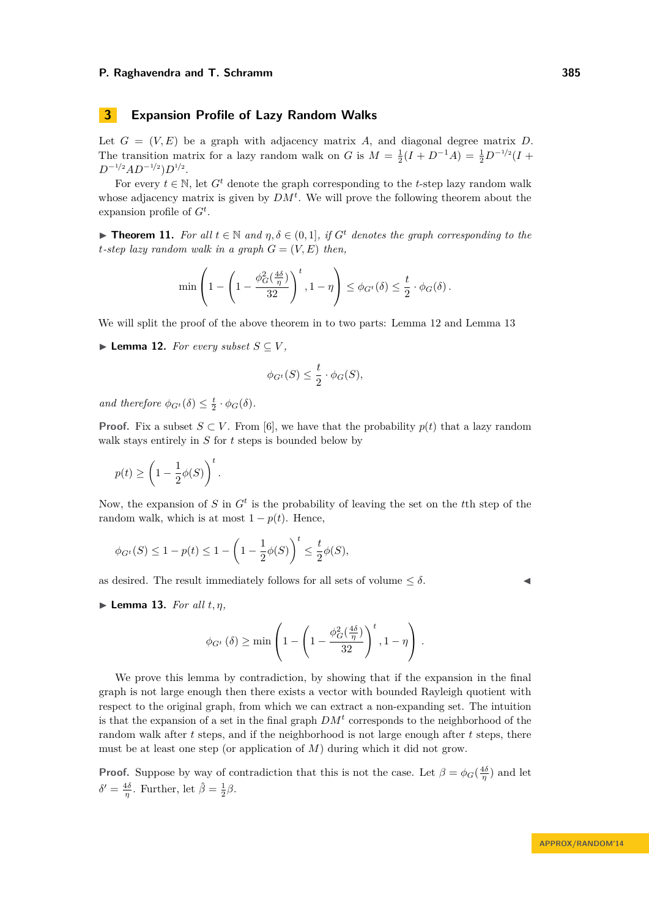# <span id="page-4-1"></span>**3 Expansion Profile of Lazy Random Walks**

Let  $G = (V, E)$  be a graph with adjacency matrix *A*, and diagonal degree matrix *D*. The transition matrix for a lazy random walk on *G* is  $M = \frac{1}{2}(I + D^{-1}A) = \frac{1}{2}D^{-1/2}(I + D^{-1}A)$ *D*<sup>−1/2</sup>*AD*<sup>−1/2</sup>)*D*<sup>1/2</sup>.

For every  $t \in \mathbb{N}$ , let  $G^t$  denote the graph corresponding to the *t*-step lazy random walk whose adjacency matrix is given by  $DM<sup>t</sup>$ . We will prove the following theorem about the expansion profile of *G<sup>t</sup>* .

<span id="page-4-0"></span>**► Theorem 11.** For all  $t \in \mathbb{N}$  and  $\eta, \delta \in (0,1]$ , if  $G^t$  denotes the graph corresponding to the *t*-step lazy random walk in a graph  $G = (V, E)$  then,

$$
\min\left(1 - \left(1 - \frac{\phi_G^2(\frac{4\delta}{\eta})}{32}\right)^t, 1 - \eta\right) \leq \phi_{G^t}(\delta) \leq \frac{t}{2} \cdot \phi_G(\delta).
$$

We will split the proof of the above theorem in to two parts: Lemma [12](#page-4-2) and Lemma [13](#page-4-3)

<span id="page-4-2"></span>▶ **Lemma 12.** *For every subset*  $S \subseteq V$ *,* 

$$
\phi_{G^t}(S) \le \frac{t}{2} \cdot \phi_G(S),
$$

*and therefore*  $\phi_{G^t}(\delta) \leq \frac{t}{2} \cdot \phi_G(\delta)$ *.* 

**Proof.** Fix a subset  $S \subset V$ . From [\[6\]](#page-8-17), we have that the probability  $p(t)$  that a lazy random walk stays entirely in *S* for *t* steps is bounded below by

$$
p(t) \ge \left(1 - \frac{1}{2}\phi(S)\right)^t.
$$

Now, the expansion of *S* in *G<sup>t</sup>* is the probability of leaving the set on the *t*th step of the random walk, which is at most  $1 - p(t)$ . Hence,

$$
\phi_{G^t}(S) \le 1 - p(t) \le 1 - \left(1 - \frac{1}{2}\phi(S)\right)^t \le \frac{t}{2}\phi(S),
$$

as desired. The result immediately follows for all sets of volume  $\leq \delta$ .

<span id="page-4-3"></span> $\blacktriangleright$  **Lemma 13.** *For all t, n,* 

$$
\phi_{G^t}(\delta) \ge \min\left(1 - \left(1 - \frac{\phi_G^2(\frac{4\delta}{\eta})}{32}\right)^t, 1 - \eta\right).
$$

We prove this lemma by contradiction, by showing that if the expansion in the final graph is not large enough then there exists a vector with bounded Rayleigh quotient with respect to the original graph, from which we can extract a non-expanding set. The intuition is that the expansion of a set in the final graph  $DM<sup>t</sup>$  corresponds to the neighborhood of the random walk after *t* steps, and if the neighborhood is not large enough after *t* steps, there must be at least one step (or application of *M*) during which it did not grow.

**Proof.** Suppose by way of contradiction that this is not the case. Let  $\beta = \phi_G(\frac{4\delta}{\eta})$  and let  $\delta' = \frac{4\delta}{\eta}$ . Further, let  $\hat{\beta} = \frac{1}{2}\beta$ .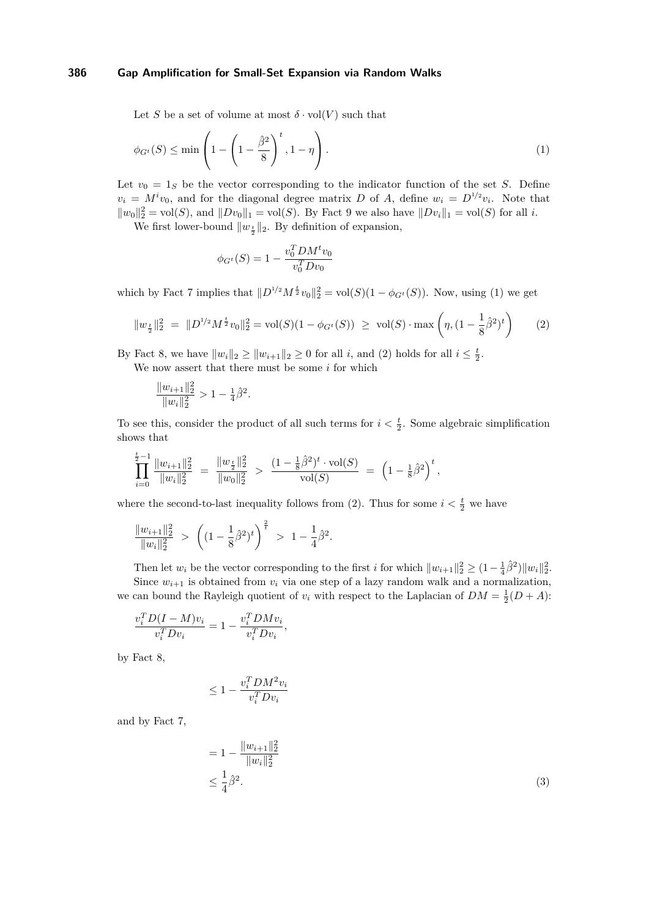Let *S* be a set of volume at most  $\delta \cdot \text{vol}(V)$  such that

$$
\phi_{G^t}(S) \le \min\left(1 - \left(1 - \frac{\hat{\beta}^2}{8}\right)^t, 1 - \eta\right). \tag{1}
$$

Let  $v_0 = 1_S$  be the vector corresponding to the indicator function of the set *S*. Define  $v_i = M^i v_0$ , and for the diagonal degree matrix *D* of *A*, define  $w_i = D^{1/2} v_i$ . Note that  $||w_0||_2^2 = \text{vol}(S)$ , and  $||Dv_0||_1 = \text{vol}(S)$ . By Fact [9](#page-3-1) we also have  $||Dv_i||_1 = \text{vol}(S)$  for all *i*.

We first lower-bound  $||w_{\frac{t}{2}}||_2$ . By definition of expansion,

<span id="page-5-1"></span><span id="page-5-0"></span>
$$
\phi_{G^t}(S) = 1 - \frac{v_0^T D M^t v_0}{v_0^T D v_0}
$$

which by Fact [7](#page-3-2) implies that  $||D^{1/2}M^{\frac{t}{2}}v_0||_2^2 = vol(S)(1 - \phi_{G^t}(S))$ . Now, using [\(1\)](#page-5-0) we get

$$
||w_{\frac{t}{2}}||_2^2 = ||D^{1/2}M^{\frac{t}{2}}v_0||_2^2 = \text{vol}(S)(1 - \phi_{G^t}(S)) \ge \text{vol}(S) \cdot \max\left(\eta, (1 - \frac{1}{8}\hat{\beta}^2)^t\right) \tag{2}
$$

By Fact [8,](#page-3-3) we have  $||w_i||_2 \ge ||w_{i+1}||_2 \ge 0$  for all *i*, and [\(2\)](#page-5-1) holds for all  $i \le \frac{t}{2}$ .

We now assert that there must be some *i* for which

$$
\frac{\|w_{i+1}\|_2^2}{\|w_i\|_2^2} > 1 - \frac{1}{4}\hat{\beta}^2.
$$

To see this, consider the product of all such terms for  $i < \frac{t}{2}$ . Some algebraic simplification shows that

$$
\prod_{i=0}^{\frac{t}{2}-1} \frac{||w_{i+1}||_2^2}{||w_i||_2^2} = \frac{||w_{\frac{t}{2}}||_2^2}{||w_0||_2^2} > \frac{(1-\frac{1}{8}\hat{\beta}^2)^t \cdot \text{vol}(S)}{\text{vol}(S)} = \left(1-\frac{1}{8}\hat{\beta}^2\right)^t,
$$

where the second-to-last inequality follows from [\(2\)](#page-5-1). Thus for some  $i < \frac{t}{2}$  we have

$$
\frac{\|w_{i+1}\|_2^2}{\|w_i\|_2^2} > \left( (1 - \frac{1}{8}\hat{\beta}^2)^t \right)^{\frac{2}{t}} > 1 - \frac{1}{4}\hat{\beta}^2.
$$

Then let  $w_i$  be the vector corresponding to the first *i* for which  $||w_{i+1}||_2^2 \geq (1 - \frac{1}{4}\hat{\beta}^2)||w_i||_2^2$ . Since  $w_{i+1}$  is obtained from  $v_i$  via one step of a lazy random walk and a normalization, we can bound the Rayleigh quotient of  $v_i$  with respect to the Laplacian of  $DM = \frac{1}{2}(D + A)$ :

$$
\frac{v_i^T D (I - M) v_i}{v_i^T D v_i} = 1 - \frac{v_i^T D M v_i}{v_i^T D v_i},
$$

by Fact [8,](#page-3-3)

$$
\leq 1 - \frac{v_i^T D M^2 v_i}{v_i^T D v_i}
$$

and by Fact [7,](#page-3-2)

<span id="page-5-2"></span>
$$
= 1 - \frac{\|w_{i+1}\|_2^2}{\|w_i\|_2^2}
$$
  
 
$$
\leq \frac{1}{4}\hat{\beta}^2.
$$
 (3)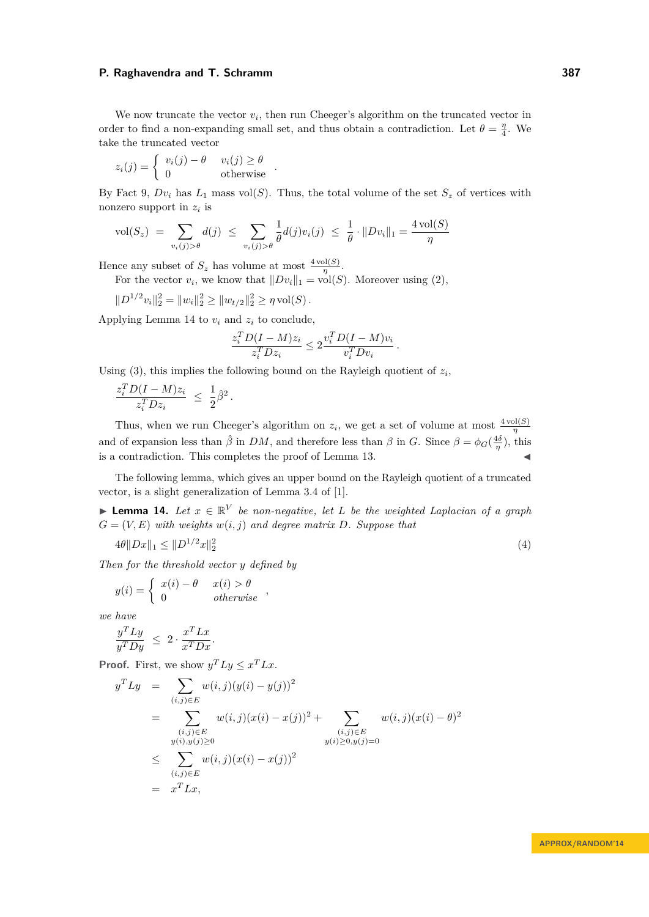We now truncate the vector  $v_i$ , then run Cheeger's algorithm on the truncated vector in order to find a non-expanding small set, and thus obtain a contradiction. Let  $\theta = \frac{\eta}{4}$ . We take the truncated vector

$$
z_i(j) = \begin{cases} v_i(j) - \theta & v_i(j) \ge \theta \\ 0 & \text{otherwise} \end{cases}.
$$

By Fact [9,](#page-3-1)  $Dv_i$  has  $L_1$  mass vol(*S*). Thus, the total volume of the set  $S_z$  of vertices with nonzero support in *z<sup>i</sup>* is

$$
\text{vol}(S_z) \ = \ \sum_{v_i(j) > \theta} d(j) \ \le \ \sum_{v_i(j) > \theta} \frac{1}{\theta} d(j) v_i(j) \ \le \ \frac{1}{\theta} \cdot \|Dv_i\|_1 = \frac{4 \,\text{vol}(S)}{\eta}
$$

Hence any subset of  $S_z$  has volume at most  $\frac{4 \text{ vol}(S)}{\eta}$ .

For the vector  $v_i$ , we know that  $||Dv_i||_1 = \text{vol}(S)$ . Moreover using [\(2\)](#page-5-1),

 $||D^{1/2}v_i||_2^2 = ||w_i||_2^2 \ge ||w_{t/2}||_2^2 \ge \eta \text{ vol}(S)$ .

Applying Lemma [14](#page-6-0) to  $v_i$  and  $z_i$  to conclude,

$$
\frac{z_i^T D(I-M)z_i}{z_i^T D z_i} \leq 2 \frac{v_i^T D(I-M)v_i}{v_i^T D v_i}.
$$

Using  $(3)$ , this implies the following bound on the Rayleigh quotient of  $z_i$ ,

$$
\frac{z_i^T D(I-M) z_i}{z_i^T D z_i} \ \leq \ \frac{1}{2} \hat{\beta}^2.
$$

Thus, when we run Cheeger's algorithm on  $z_i$ , we get a set of volume at most  $\frac{4 \text{ vol}(S)}{\eta}$ and of expansion less than  $\hat{\beta}$  in *DM*, and therefore less than  $\beta$  in *G*. Since  $\beta = \phi_G(\frac{4\delta}{\eta})$ , this is a contradiction. This completes the proof of Lemma [13.](#page-4-3)

The following lemma, which gives an upper bound on the Rayleigh quotient of a truncated vector, is a slight generalization of Lemma 3.4 of [\[1\]](#page-8-12).

<span id="page-6-0"></span>**Lemma 14.** Let  $x \in \mathbb{R}^V$  be non-negative, let L be the weighted Laplacian of a graph  $G = (V, E)$  *with weights*  $w(i, j)$  *and degree matrix*  $D$ *. Suppose that* 

$$
4\theta \|Dx\|_1 \le \|D^{1/2}x\|_2^2 \tag{4}
$$

*Then for the threshold vector y defined by*

<span id="page-6-1"></span>*.*

$$
y(i) = \begin{cases} x(i) - \theta & x(i) > \theta \\ 0 & otherwise \end{cases}
$$

*we have*

$$
\frac{y^T L y}{y^T D y} \ \leq \ 2 \cdot \frac{x^T L x}{x^T D x}
$$

**Proof.** First, we show  $y^T L y \leq x^T L x$ .

$$
y^T L y = \sum_{(i,j)\in E} w(i,j)(y(i) - y(j))^2
$$
  
= 
$$
\sum_{\substack{(i,j)\in E \ y(i),y(j)\geq 0}} w(i,j)(x(i) - x(j))^2 + \sum_{\substack{(i,j)\in E \ y(i),y(j)\geq 0}} w(i,j)(x(i) - \theta)^2
$$
  

$$
\leq \sum_{(i,j)\in E} w(i,j)(x(i) - x(j))^2
$$
  
= 
$$
x^T L x,
$$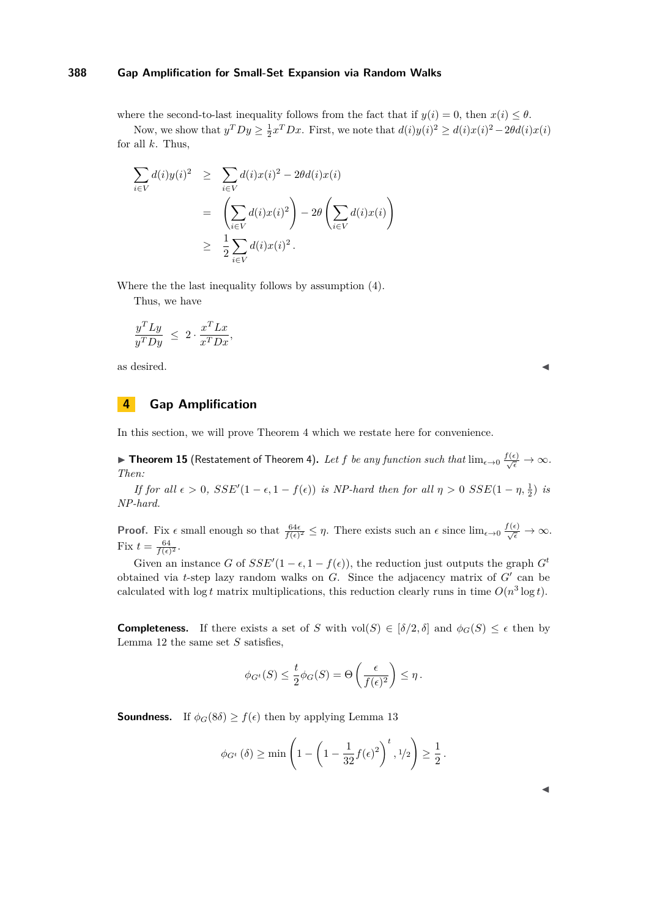where the second-to-last inequality follows from the fact that if  $y(i) = 0$ , then  $x(i) \leq \theta$ .

Now, we show that  $y^T D y \ge \frac{1}{2} x^T D x$ . First, we note that  $d(i)y(i)^2 \ge d(i)x(i)^2 - 2\theta d(i)x(i)$ for all *k*. Thus,

$$
\sum_{i \in V} d(i) y(i)^2 \geq \sum_{i \in V} d(i) x(i)^2 - 2\theta d(i) x(i)
$$
  
= 
$$
\left(\sum_{i \in V} d(i) x(i)^2\right) - 2\theta \left(\sum_{i \in V} d(i) x(i)\right)
$$
  

$$
\geq \frac{1}{2} \sum_{i \in V} d(i) x(i)^2.
$$

Where the the last inequality follows by assumption [\(4\)](#page-6-1).

Thus, we have

$$
\frac{y^T L y}{y^T D y} \ \leq \ 2 \cdot \frac{x^T L x}{x^T D x},
$$

as desired.  $\blacksquare$ 

# <span id="page-7-0"></span>**4 Gap Amplification**

In this section, we will prove Theorem [4](#page-1-0) which we restate here for convenience.

▶ Theorem 15 (Restatement of Theorem [4\)](#page-1-0). Let  $f$  be any function such that  $\lim_{\epsilon\to 0}\frac{f(\epsilon)}{\sqrt{\epsilon}}\to\infty$ . *Then:*

*If for all*  $\epsilon > 0$ ,  $SSE'(1 - \epsilon, 1 - f(\epsilon))$  *is NP-hard then for all*  $\eta > 0$   $SSE(1 - \eta, \frac{1}{2})$  *is NP-hard.*

**Proof.** Fix  $\epsilon$  small enough so that  $\frac{64\epsilon}{f(\epsilon)^2} \leq \eta$ . There exists such an  $\epsilon$  since  $\lim_{\epsilon \to 0} \frac{f(\epsilon)}{\sqrt{\epsilon}} \to \infty$ . Fix  $t = \frac{64}{f(\epsilon)^2}$ .

Given an instance *G* of  $SSE'(1 - \epsilon, 1 - f(\epsilon))$ , the reduction just outputs the graph  $G^t$ obtained via *t*-step lazy random walks on  $G$ . Since the adjacency matrix of  $G'$  can be calculated with  $\log t$  matrix multiplications, this reduction clearly runs in time  $O(n^3 \log t)$ .

**Completeness.** If there exists a set of *S* with vol(*S*)  $\in$  [ $\delta/2$ ,  $\delta$ ] and  $\phi_G(S) \leq \epsilon$  then by Lemma [12](#page-4-2) the same set *S* satisfies,

$$
\phi_{G^t}(S) \le \frac{t}{2} \phi_G(S) = \Theta\left(\frac{\epsilon}{f(\epsilon)^2}\right) \le \eta.
$$

**Soundness.** If  $\phi_G(8\delta) \ge f(\epsilon)$  then by applying Lemma [13](#page-4-3)

$$
\phi_{G^t}(\delta) \ge \min\left(1 - \left(1 - \frac{1}{32}f(\epsilon)^2\right)^t, 1/2\right) \ge \frac{1}{2}.
$$

J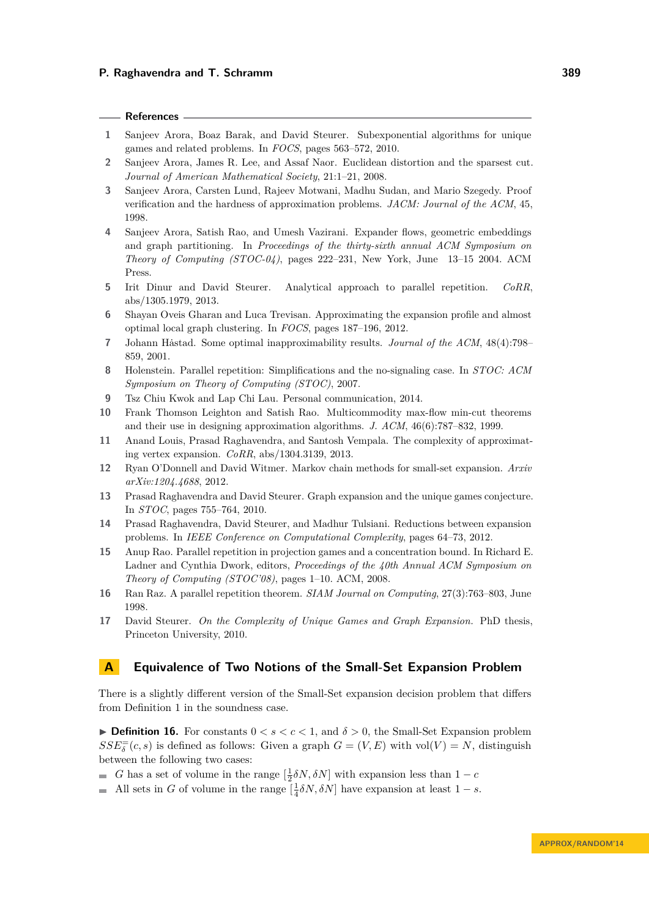## **References**

- <span id="page-8-12"></span>**1** Sanjeev Arora, Boaz Barak, and David Steurer. Subexponential algorithms for unique games and related problems. In *FOCS*, pages 563–572, 2010.
- <span id="page-8-2"></span>**2** Sanjeev Arora, James R. Lee, and Assaf Naor. Euclidean distortion and the sparsest cut. *Journal of American Mathematical Society*, 21:1–21, 2008.
- <span id="page-8-7"></span>**3** Sanjeev Arora, Carsten Lund, Rajeev Motwani, Madhu Sudan, and Mario Szegedy. Proof verification and the hardness of approximation problems. *JACM: Journal of the ACM*, 45, 1998.
- <span id="page-8-1"></span>**4** Sanjeev Arora, Satish Rao, and Umesh Vazirani. Expander flows, geometric embeddings and graph partitioning. In *Proceedings of the thirty-sixth annual ACM Symposium on Theory of Computing (STOC-04)*, pages 222–231, New York, June 13–15 2004. ACM Press.
- <span id="page-8-11"></span>**5** Irit Dinur and David Steurer. Analytical approach to parallel repetition. *CoRR*, abs/1305.1979, 2013.
- <span id="page-8-17"></span>**6** Shayan Oveis Gharan and Luca Trevisan. Approximating the expansion profile and almost optimal local graph clustering. In *FOCS*, pages 187–196, 2012.
- <span id="page-8-6"></span>**7** Johann Hästad. Some optimal inapproximability results. *Journal of the ACM*,  $48(4):798-$ 859, 2001.
- <span id="page-8-10"></span>**8** Holenstein. Parallel repetition: Simplifications and the no-signaling case. In *STOC: ACM Symposium on Theory of Computing (STOC)*, 2007.
- <span id="page-8-15"></span>**9** Tsz Chiu Kwok and Lap Chi Lau. Personal communication, 2014.
- <span id="page-8-0"></span>**10** Frank Thomson Leighton and Satish Rao. Multicommodity max-flow min-cut theorems and their use in designing approximation algorithms. *J. ACM*, 46(6):787–832, 1999.
- <span id="page-8-5"></span>**11** Anand Louis, Prasad Raghavendra, and Santosh Vempala. The complexity of approximating vertex expansion. *CoRR*, abs/1304.3139, 2013.
- <span id="page-8-14"></span>**12** Ryan O'Donnell and David Witmer. Markov chain methods for small-set expansion. *Arxiv arXiv:1204.4688*, 2012.
- <span id="page-8-3"></span>**13** Prasad Raghavendra and David Steurer. Graph expansion and the unique games conjecture. In *STOC*, pages 755–764, 2010.
- <span id="page-8-4"></span>**14** Prasad Raghavendra, David Steurer, and Madhur Tulsiani. Reductions between expansion problems. In *IEEE Conference on Computational Complexity*, pages 64–73, 2012.
- <span id="page-8-9"></span>**15** Anup Rao. Parallel repetition in projection games and a concentration bound. In Richard E. Ladner and Cynthia Dwork, editors, *Proceedings of the 40th Annual ACM Symposium on Theory of Computing (STOC'08)*, pages 1–10. ACM, 2008.
- <span id="page-8-8"></span>**16** Ran Raz. A parallel repetition theorem. *SIAM Journal on Computing*, 27(3):763–803, June 1998.
- <span id="page-8-13"></span>**17** David Steurer. *On the Complexity of Unique Games and Graph Expansion.* PhD thesis, Princeton University, 2010.

## <span id="page-8-16"></span>**A Equivalence of Two Notions of the Small-Set Expansion Problem**

There is a slightly different version of the Small-Set expansion decision problem that differs from Definition [1](#page-1-1) in the soundness case.

**Definition 16.** For constants  $0 < s < c < 1$ , and  $\delta > 0$ , the Small-Set Expansion problem  $SSE_{\delta}^{=} (c, s)$  is defined as follows: Given a graph  $G = (V, E)$  with vol $(V) = N$ , distinguish between the following two cases:

- *G* has a set of volume in the range  $\left[\frac{1}{2}\delta N, \delta N\right]$  with expansion less than  $1 c$
- All sets in *G* of volume in the range  $\left[\frac{1}{4}\delta N, \delta N\right]$  have expansion at least  $1 s$ .  $\blacksquare$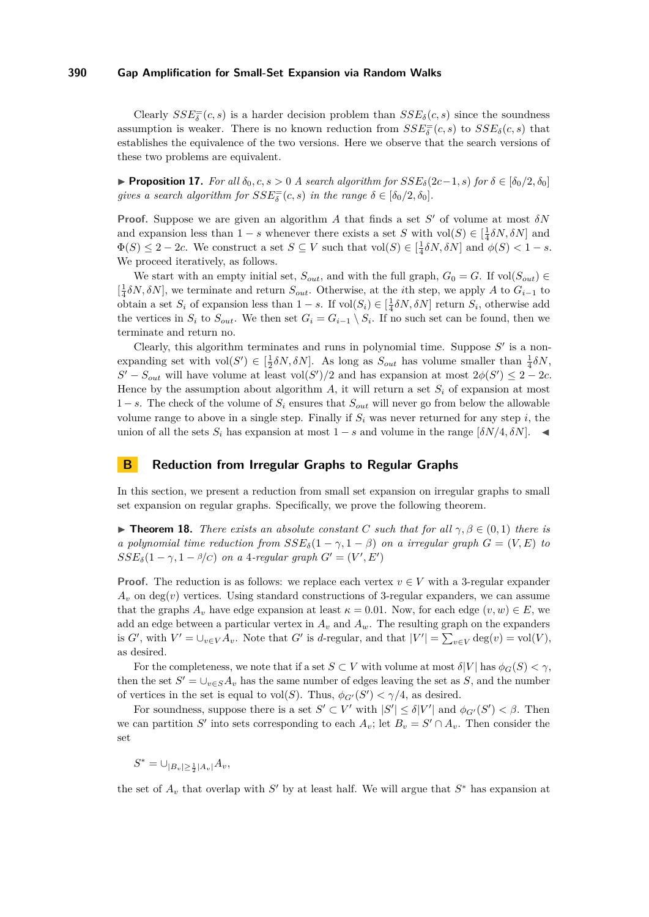Clearly  $SSE_{\delta}^{-}(c, s)$  is a harder decision problem than  $SSE_{\delta}(c, s)$  since the soundness assumption is weaker. There is no known reduction from  $SSE_{\delta}^{-}(c, s)$  to  $SSE_{\delta}(c, s)$  that establishes the equivalence of the two versions. Here we observe that the search versions of these two problems are equivalent.

**► Proposition 17.** *For all*  $\delta_0, c, s > 0$  *A search algorithm for*  $SSE_{\delta}(2c-1, s)$  *for*  $\delta \in [\delta_0/2, \delta_0]$ *gives a search algorithm for*  $SSE_{\delta}^{=} (c, s)$  *in the range*  $\delta \in [\delta_0/2, \delta_0]$ *.* 

**Proof.** Suppose we are given an algorithm *A* that finds a set  $S'$  of volume at most  $\delta N$ and expansion less than  $1-s$  whenever there exists a set *S* with vol(*S*)  $\in$   $\left[\frac{1}{4}\delta N, \delta N\right]$  and  $\Phi(S) \leq 2 - 2c$ . We construct a set  $S \subseteq V$  such that  $vol(S) \in \left[\frac{1}{4}\delta N, \delta N\right]$  and  $\phi(S) < 1 - s$ . We proceed iteratively, as follows.

We start with an empty initial set,  $S_{out}$ , and with the full graph,  $G_0 = G$ . If vol $(S_{out}) \in$ [ 1 4 *δN, δN*], we terminate and return *Sout*. Otherwise, at the *i*th step, we apply *A* to *Gi*−<sup>1</sup> to obtain a set  $S_i$  of expansion less than  $1 - s$ . If  $vol(S_i) \in [\frac{1}{4}\delta N, \delta N]$  return  $S_i$ , otherwise add the vertices in  $S_i$  to  $S_{out}$ . We then set  $G_i = G_{i-1} \setminus S_i$ . If no such set can be found, then we terminate and return no.

Clearly, this algorithm terminates and runs in polynomial time. Suppose  $S'$  is a nonexpanding set with  $vol(S') \in [\frac{1}{2}\delta N, \delta N]$ . As long as  $S_{out}$  has volume smaller than  $\frac{1}{4}\delta N$ ,  $S' - S_{out}$  will have volume at least vol $(S')/2$  and has expansion at most  $2\phi(S') \leq 2 - 2c$ . Hence by the assumption about algorithm  $A$ , it will return a set  $S_i$  of expansion at most 1 − *s*. The check of the volume of *S<sup>i</sup>* ensures that *Sout* will never go from below the allowable volume range to above in a single step. Finally if  $S_i$  was never returned for any step  $i$ , the union of all the sets  $S_i$  has expansion at most  $1 - s$  and volume in the range  $[\delta N/4, \delta N]$ .

## <span id="page-9-0"></span>**B Reduction from Irregular Graphs to Regular Graphs**

In this section, we present a reduction from small set expansion on irregular graphs to small set expansion on regular graphs. Specifically, we prove the following theorem.

**Find 18.** *There exists an absolute constant C such that for all*  $\gamma, \beta \in (0,1)$  *there is a polynomial time reduction from*  $SSE_{\delta}(1 - \gamma, 1 - \beta)$  *on a irregular graph*  $G = (V, E)$  *to*  $SSE_{\delta}(1-\gamma, 1-\beta/c)$  *on a* 4*-regular graph*  $G' = (V', E')$ 

**Proof.** The reduction is as follows: we replace each vertex  $v \in V$  with a 3-regular expander  $A_v$  on deg(*v*) vertices. Using standard constructions of 3-regular expanders, we can assume that the graphs  $A_v$  have edge expansion at least  $\kappa = 0.01$ . Now, for each edge  $(v, w) \in E$ , we add an edge between a particular vertex in  $A_v$  and  $A_w$ . The resulting graph on the expanders is *G*<sup> $\prime$ </sup>, with  $V' = \bigcup_{v \in V} A_v$ . Note that *G*<sup> $\prime$ </sup> is *d*-regular, and that  $|V'| = \sum_{v \in V} \deg(v) = \text{vol}(V)$ , as desired.

For the completeness, we note that if a set  $S \subset V$  with volume at most  $\delta|V|$  has  $\phi_G(S) < \gamma$ , then the set  $S' = \bigcup_{v \in S} A_v$  has the same number of edges leaving the set as *S*, and the number of vertices in the set is equal to  $vol(S)$ . Thus,  $\phi_{G'}(S') < \gamma/4$ , as desired.

For soundness, suppose there is a set  $S' \subset V'$  with  $|S'| \leq \delta |V'|$  and  $\phi_{G'}(S') < \beta$ . Then we can partition *S*<sup> $\prime$ </sup> into sets corresponding to each  $A_v$ ; let  $B_v = S' \cap A_v$ . Then consider the set

$$
S^* = \cup_{|B_v| \ge \frac{1}{2}|A_v|} A_v,
$$

the set of  $A_v$  that overlap with  $S'$  by at least half. We will argue that  $S^*$  has expansion at